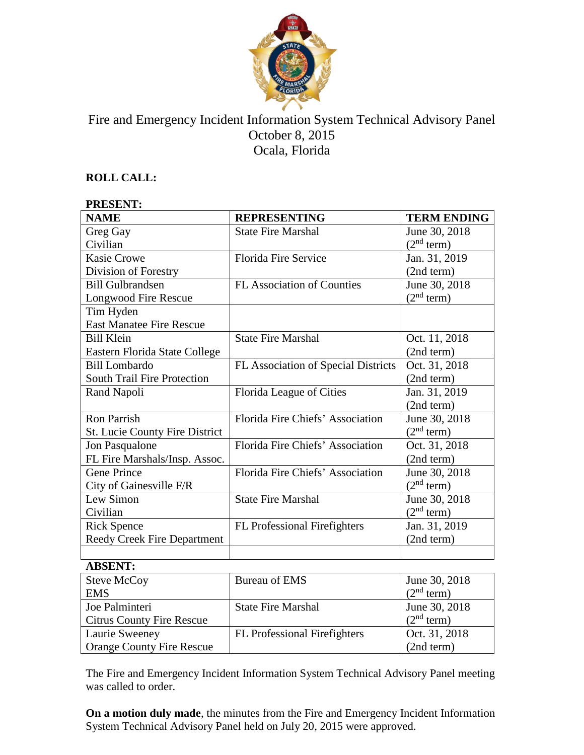

# Fire and Emergency Incident Information System Technical Advisory Panel October 8, 2015 Ocala, Florida

## **ROLL CALL:**

| <b>PRESENT:</b>                       |                                     |                        |  |
|---------------------------------------|-------------------------------------|------------------------|--|
| <b>NAME</b>                           | <b>REPRESENTING</b>                 | <b>TERM ENDING</b>     |  |
| Greg Gay                              | <b>State Fire Marshal</b>           | June 30, 2018          |  |
| Civilian                              |                                     | (2 <sup>nd</sup> term) |  |
| <b>Kasie Crowe</b>                    | Florida Fire Service                | Jan. 31, 2019          |  |
| Division of Forestry                  |                                     | (2nd term)             |  |
| <b>Bill Gulbrandsen</b>               | FL Association of Counties          | June 30, 2018          |  |
| Longwood Fire Rescue                  |                                     | (2 <sup>nd</sup> term) |  |
| Tim Hyden                             |                                     |                        |  |
| <b>East Manatee Fire Rescue</b>       |                                     |                        |  |
| <b>Bill Klein</b>                     | <b>State Fire Marshal</b>           | Oct. 11, 2018          |  |
| Eastern Florida State College         |                                     | (2nd term)             |  |
| <b>Bill Lombardo</b>                  | FL Association of Special Districts | Oct. 31, 2018          |  |
| <b>South Trail Fire Protection</b>    |                                     | (2nd term)             |  |
| Rand Napoli                           | Florida League of Cities            | Jan. 31, 2019          |  |
|                                       |                                     | (2nd term)             |  |
| <b>Ron Parrish</b>                    | Florida Fire Chiefs' Association    | June 30, 2018          |  |
| <b>St. Lucie County Fire District</b> |                                     | (2 <sup>nd</sup> term) |  |
| Jon Pasqualone                        | Florida Fire Chiefs' Association    | Oct. 31, 2018          |  |
| FL Fire Marshals/Insp. Assoc.         |                                     | (2nd term)             |  |
| <b>Gene Prince</b>                    | Florida Fire Chiefs' Association    | June 30, 2018          |  |
| City of Gainesville F/R               |                                     | (2 <sup>nd</sup> term) |  |
| Lew Simon                             | <b>State Fire Marshal</b>           | June 30, 2018          |  |
| Civilian                              |                                     | (2 <sup>nd</sup> term) |  |
| <b>Rick Spence</b>                    | FL Professional Firefighters        | Jan. 31, 2019          |  |
| <b>Reedy Creek Fire Department</b>    |                                     | (2nd term)             |  |
|                                       |                                     |                        |  |

#### **ABSENT:**

| Steve McCoy                      | Bureau of EMS                | June 30, 2018          |
|----------------------------------|------------------------------|------------------------|
| <b>EMS</b>                       |                              | (2 <sup>nd</sup> term) |
| Joe Palminteri                   | <b>State Fire Marshal</b>    | June 30, 2018          |
| <b>Citrus County Fire Rescue</b> |                              | (2 <sup>nd</sup> term) |
| Laurie Sweeney                   | FL Professional Firefighters | Oct. 31, 2018          |
| <b>Orange County Fire Rescue</b> |                              | (2nd term)             |

The Fire and Emergency Incident Information System Technical Advisory Panel meeting was called to order.

**On a motion duly made**, the minutes from the Fire and Emergency Incident Information System Technical Advisory Panel held on July 20, 2015 were approved.